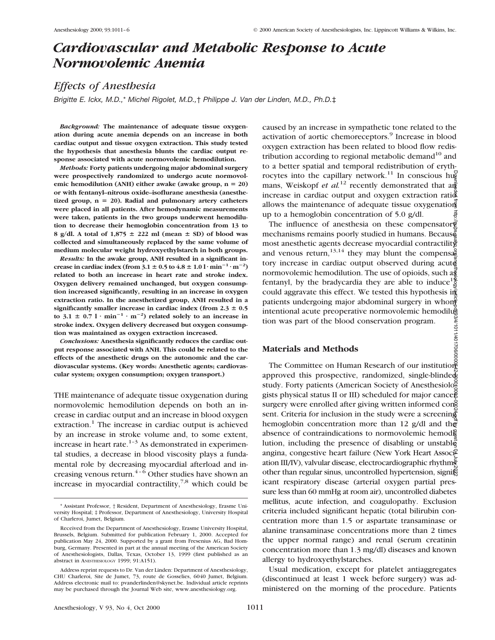# *Cardiovascular and Metabolic Response to Acute Normovolemic Anemia*

# *Effects of Anesthesia*

*Brigitte E. Ickx, M.D.,*\* *Michel Rigolet, M.D.,*† *Philippe J. Van der Linden, M.D., Ph.D.*‡

*Background:* **The maintenance of adequate tissue oxygenation during acute anemia depends on an increase in both cardiac output and tissue oxygen extraction. This study tested the hypothesis that anesthesia blunts the cardiac output response associated with acute normovolemic hemodilution.**

*Methods:* **Forty patients undergoing major abdominal surgery were prospectively randomized to undergo acute normovol**emic hemodilution (ANH) either awake (awake group,  $n = 20$ ) **or with fentanyl–nitrous oxide–isoflurane anesthesia (anesthe**tized group,  $n = 20$ ). Radial and pulmonary artery catheters **were placed in all patients. After hemodynamic measurements were taken, patients in the two groups underwent hemodilution to decrease their hemoglobin concentration from 13 to** 8 g/dl. A total of 1,875  $\pm$  222 ml (mean  $\pm$  SD) of blood was **collected and simultaneously replaced by the same volume of medium molecular weight hydroxyethylstarch in both groups.**

*Results:* **In the awake group, ANH resulted in a significant increase in cardiac index (from 3.1**  $\pm$  **0.5 to 4.8**  $\pm$  **1.0 l·min<sup>-1</sup>·m<sup>-2</sup>) related to both an increase in heart rate and stroke index. Oxygen delivery remained unchanged, but oxygen consumption increased significantly, resulting in an increase in oxygen extraction ratio. In the anesthetized group, ANH resulted in a significantly smaller increase in cardiac index (from**  $2.3 \pm 0.5$ **)** to 3.1  $\pm$  0.7 l  $\cdot$  min<sup>-1</sup>  $\cdot$  m<sup>-2</sup>) related solely to an increase in **stroke index. Oxygen delivery decreased but oxygen consumption was maintained as oxygen extraction increased.**

*Conclusions:* **Anesthesia significantly reduces the cardiac output response associated with ANH. This could be related to the effects of the anesthetic drugs on the autonomic and the cardiovascular systems. (Key words: Anesthetic agents; cardiovascular system; oxygen consumption; oxygen transport.)**

THE maintenance of adequate tissue oxygenation during normovolemic hemodilution depends on both an increase in cardiac output and an increase in blood oxygen extraction.<sup>1</sup> The increase in cardiac output is achieved by an increase in stroke volume and, to some extent, increase in heart rate. $1-3$  As demonstrated in experimental studies, a decrease in blood viscosity plays a fundamental role by decreasing myocardial afterload and increasing venous return. $4-6$  Other studies have shown an increase in myocardial contractility, $7.8$  which could be

caused by an increase in sympathetic tone related to the activation of aortic chemoreceptors.<sup>9</sup> Increase in blood oxygen extraction has been related to blood flow redistribution according to regional metabolic demand $10$  and to a better spatial and temporal redistribution of erythrocytes into the capillary network.<sup>11</sup> In conscious hug mans, Weiskopf *et al.*<sup>12</sup> recently demonstrated that  $a\frac{d}{dx}$ increase in cardiac output and oxygen extraction ration allows the maintenance of adequate tissue oxygenation up to a hemoglobin concentration of 5.0 g/dl.

The influence of anesthesia on these compensator  $\vec{e}$ mechanisms remains poorly studied in humans. Because most anesthetic agents decrease myocardial contractility and venous return,  $13,14$  they may blunt the compensated tory increase in cardiac output observed during acute normovolemic hemodilution. The use of opioids, such  $a\bar{g}$ fentanyl, by the bradycardia they are able to induce<sup>15</sup>/<sub>2</sub><sup>5</sup> could aggravate this effect. We tested this hypothesis in patients undergoing major abdominal surgery in whom intentional acute preoperative normovolemic hemodilution was part of the blood conservation program.

# **Materials and Methods**

The Committee on Human Research of our institution approved this prospective, randomized, single-blinded study. Forty patients (American Society of Anesthesiologists physical status II or III) scheduled for major cance surgery were enrolled after giving written informed cong sent. Criteria for inclusion in the study were a screening hemoglobin concentration more than 12 g/dl and the absence of contraindications to normovolemic hemodilution, including the presence of disabling or unstable angina, congestive heart failure (New York Heart Association ation III/IV), valvular disease, electrocardiographic rhythms other than regular sinus, uncontrolled hypertension, significant respiratory disease (arterial oxygen partial pressure less than 60 mmHg at room air), uncontrolled diabetes mellitus, acute infection, and coagulopathy. Exclusion criteria included significant hepatic (total bilirubin concentration more than 1.5 or aspartate transaminase or alanine transaminase concentrations more than 2 times the upper normal range) and renal (serum creatinin concentration more than 1.3 mg/dl) diseases and known allergy to hydroxyethylstarches. Downloaded from http://pubs.asahq.org/anesthesiology/article-pdf/93/4/1011/401706/0000542-200010000-00024.pdf by guest on 04 July 2022

Usual medication, except for platelet antiaggregates (discontinued at least 1 week before surgery) was administered on the morning of the procedure. Patients

<sup>\*</sup> Assistant Professor, † Resident, Department of Anesthesiology, Erasme University Hospital; ‡ Professor, Department of Anesthesiology, University Hospital of Charleroi, Jumet, Belgium.

Received from the Department of Anesthesiology, Erasme University Hospital, Brussels, Belgium. Submitted for publication February 1, 2000. Accepted for publication May 24, 2000. Supported by a grant from Fresenius AG, Bad Homburg, Germany. Presented in part at the annual meeting of the American Society of Anesthesiologists, Dallas, Texas, October 13, 1999 (first published as an abstract in ANESTHESIOLOGY 1999; 91:A151).

Address reprint requests to Dr. Van der Linden: Department of Anesthesiology, CHU Charleroi, Site de Jumet, 73, route de Gosselies, 6040 Jumet, Belgium. Address electronic mail to: pvanderlinden@skynet.be. Individual article reprints may be purchased through the Journal Web site, www.anesthesiology.org.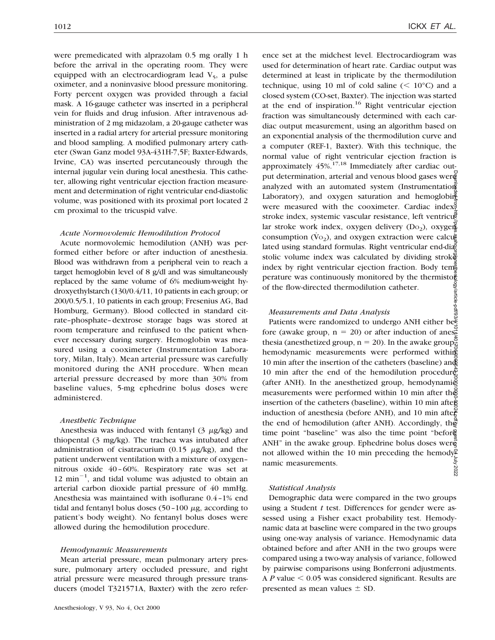were premedicated with alprazolam 0.5 mg orally 1 h before the arrival in the operating room. They were equipped with an electrocardiogram lead  $V_5$ , a pulse oximeter, and a noninvasive blood pressure monitoring. Forty percent oxygen was provided through a facial mask. A 16-gauge catheter was inserted in a peripheral vein for fluids and drug infusion. After intravenous administration of 2 mg midazolam, a 20-gauge catheter was inserted in a radial artery for arterial pressure monitoring and blood sampling. A modified pulmonary artery catheter (Swan Ganz model 93A-431H-7,5F; Baxter-Edwards, Irvine, CA) was inserted percutaneously through the internal jugular vein during local anesthesia. This catheter, allowing right ventricular ejection fraction measurement and determination of right ventricular end-diastolic volume, was positioned with its proximal port located 2 cm proximal to the tricuspid valve.

#### *Acute Normovolemic Hemodilution Protocol*

Acute normovolemic hemodilution (ANH) was performed either before or after induction of anesthesia. Blood was withdrawn from a peripheral vein to reach a target hemoglobin level of 8 g/dl and was simultaneously replaced by the same volume of 6% medium-weight hydroxyethylstarch (130/0.4/11, 10 patients in each group; or 200/0.5/5.1, 10 patients in each group; Fresenius AG, Bad Homburg, Germany). Blood collected in standard citrate–phosphate–dextrose storage bags was stored at room temperature and reinfused to the patient whenever necessary during surgery. Hemoglobin was measured using a cooximeter (Instrumentation Laboratory, Milan, Italy). Mean arterial pressure was carefully monitored during the ANH procedure. When mean arterial pressure decreased by more than 30% from baseline values, 5-mg ephedrine bolus doses were administered.

#### *Anesthetic Technique*

Anesthesia was induced with fentanyl  $(3 \mu g/kg)$  and thiopental (3 mg/kg). The trachea was intubated after administration of cisatracurium (0.15  $\mu$ g/kg), and the patient underwent ventilation with a mixture of oxygen– nitrous oxide 40–60%. Respiratory rate was set at  $12$  min<sup>-1</sup>, and tidal volume was adjusted to obtain an arterial carbon dioxide partial pressure of 40 mmHg. Anesthesia was maintained with isoflurane 0.4–1% end tidal and fentanyl bolus doses  $(50-100 \mu g,$  according to patient's body weight). No fentanyl bolus doses were allowed during the hemodilution procedure.

#### *Hemodynamic Measurements*

Mean arterial pressure, mean pulmonary artery pressure, pulmonary artery occluded pressure, and right atrial pressure were measured through pressure transducers (model T321571A, Baxter) with the zero refer-

ence set at the midchest level. Electrocardiogram was used for determination of heart rate. Cardiac output was determined at least in triplicate by the thermodilution technique, using 10 ml of cold saline  $(< 10^{\circ}$ C) and a closed system (CO-set, Baxter). The injection was started at the end of inspiration.<sup>16</sup> Right ventricular ejection fraction was simultaneously determined with each cardiac output measurement, using an algorithm based on an exponential analysis of the thermodilution curve and a computer (REF-1, Baxter). With this technique, the normal value of right ventricular ejection fraction is approximately  $45\%$ .<sup>17,18</sup> Immediately after cardiac output determination, arterial and venous blood gases wer analyzed with an automated system (Instrumentation Laboratory), and oxygen saturation and hemoglobing were measured with the cooximeter. Cardiac index, stroke index, systemic vascular resistance, left ventricular stroke work index, oxygen delivery  $(D_0)$ , oxygen consumption  $(\rm Vo_2)$ , and oxygen extraction were calculated using standard formulas. Right ventricular end-diastolic volume index was calculated by dividing stroked index by right ventricular ejection fraction. Body tem $\frac{3}{2}$ perature was continuously monitored by the thermistorof the flow-directed thermodilution catheter.

## *Measurements and Data Analysis*

Patients were randomized to undergo ANH either be $\bar{\Xi}$ fore (awake group,  $n = 20$ ) or after induction of anesthesia (anesthetized group,  $n = 20$ ). In the awake group, hemodynamic measurements were performed withing 10 min after the insertion of the catheters (baseline) and 10 min after the end of the hemodilution procedure (after ANH). In the anesthetized group, hemodynami $\delta$ measurements were performed within 10 min after the insertion of the catheters (baseline), within 10 min after induction of anesthesia (before ANH), and 10 min after the end of hemodilution (after ANH). Accordingly, the time point "baseline" was also the time point "befor ANH" in the awake group. Ephedrine bolus doses were not allowed within the 10 min preceding the hemodynamic measurements. Downloaded from http://pubs.asahq.org/anesthesiology/article-pdf/93/4/1011/401706/0000542-200010000-00024.pdf by guest on 04 July 2022

#### *Statistical Analysis*

Demographic data were compared in the two groups using a Student *t* test. Differences for gender were assessed using a Fisher exact probability test. Hemodynamic data at baseline were compared in the two groups using one-way analysis of variance. Hemodynamic data obtained before and after ANH in the two groups were compared using a two-way analysis of variance, followed by pairwise comparisons using Bonferroni adjustments. A  $P$  value  $\leq 0.05$  was considered significant. Results are presented as mean values  $\pm$  SD.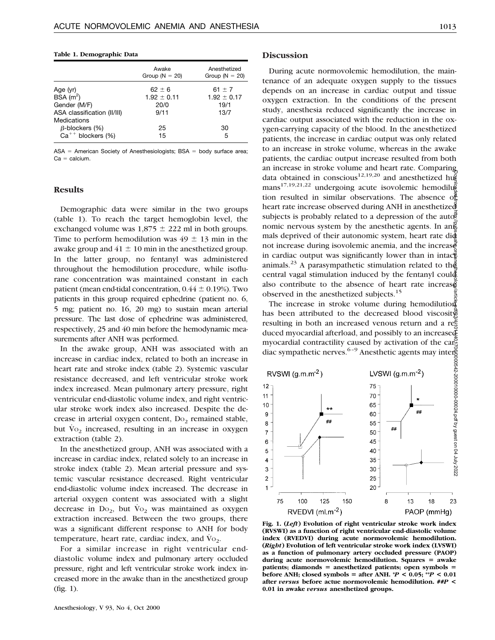#### **Table 1. Demographic Data**

|                             | Awake<br>Group ( $N = 20$ ) | Anesthetized<br>Group ( $N = 20$ ) |
|-----------------------------|-----------------------------|------------------------------------|
| Age (yr)                    | $62 \pm 6$                  | 61 $\pm$ 7                         |
| BSA(m <sup>2</sup> )        | $1.92 \pm 0.11$             | $1.92 \pm 0.17$                    |
| Gender (M/F)                | 20/0                        | 19/1                               |
| ASA classification (II/III) | 9/11                        | 13/7                               |
| Medications                 |                             |                                    |
| $\beta$ -blockers (%)       | 25                          | 30                                 |
| $Ca^{++}$ blockers (%)      | 15                          | 5                                  |

 $ASA =$  American Society of Anesthesiologists;  $BSA =$  body surface area;  $Ca =$  calcium.

# **Results**

Demographic data were similar in the two groups (table 1). To reach the target hemoglobin level, the exchanged volume was  $1,875 \pm 222$  ml in both groups. Time to perform hemodilution was  $49 \pm 13$  min in the awake group and  $41 \pm 10$  min in the anesthetized group. In the latter group, no fentanyl was administered throughout the hemodilution procedure, while isoflurane concentration was maintained constant in each patient (mean end-tidal concentration,  $0.44 \pm 0.19$ %). Two patients in this group required ephedrine (patient no. 6, 5 mg; patient no. 16, 20 mg) to sustain mean arterial pressure. The last dose of ephedrine was administered, respectively, 25 and 40 min before the hemodynamic measurements after ANH was performed.

In the awake group, ANH was associated with an increase in cardiac index, related to both an increase in heart rate and stroke index (table 2). Systemic vascular resistance decreased, and left ventricular stroke work index increased. Mean pulmonary artery pressure, right ventricular end-diastolic volume index, and right ventricular stroke work index also increased. Despite the decrease in arterial oxygen content,  $Do_2$  remained stable, but  $\overline{V}o_2$  increased, resulting in an increase in oxygen extraction (table 2).

In the anesthetized group, ANH was associated with a increase in cardiac index, related solely to an increase in stroke index (table 2). Mean arterial pressure and systemic vascular resistance decreased. Right ventricular end-diastolic volume index increased. The decrease in arterial oxygen content was associated with a slight decrease in  $Do_2$ , but  $Vo_2$  was maintained as oxygen extraction increased. Between the two groups, there was a significant different response to ANH for body temperature, heart rate, cardiac index, and  $\dot{V}_{O_2}$ .

For a similar increase in right ventricular enddiastolic volume index and pulmonary artery occluded pressure, right and left ventricular stroke work index increased more in the awake than in the anesthetized group (fig. 1).

### **Discussion**

During acute normovolemic hemodilution, the maintenance of an adequate oxygen supply to the tissues depends on an increase in cardiac output and tissue oxygen extraction. In the conditions of the present study, anesthesia reduced significantly the increase in cardiac output associated with the reduction in the oxygen-carrying capacity of the blood. In the anesthetized patients, the increase in cardiac output was only related to an increase in stroke volume, whereas in the awake patients, the cardiac output increase resulted from both an increase in stroke volume and heart rate. Comparing data obtained in conscious<sup>12,19,20</sup> and anesthetized hugh  ${\rm mass}^{17,19,21,22}$  undergoing acute isovolemic hemodilution resulted in similar observations. The absence  $\sigma_{\text{E}}^{\text{B}}$ heart rate increase observed during ANH in anesthetized subjects is probably related to a depression of the autonomic nervous system by the anesthetic agents. In an $\frac{2}{5}$ mals deprived of their autonomic system, heart rate did not increase during isovolemic anemia, and the increase in cardiac output was significantly lower than in intactive animals.<sup>23</sup> A parasympathetic stimulation related to the central vagal stimulation induced by the fentanyl could also contribute to the absence of heart rate increased observed in the anesthetized subjects.<sup>15</sup>

The increase in stroke volume during hemodilution has been attributed to the decreased blood viscosity resulting in both an increased venous return and a res duced myocardial afterload, and possibly to an increased myocardial contractility caused by activation of the cardiac sympathetic nerves.<sup>6-9</sup> Anesthetic agents may inter-



**Fig. 1. (***Left***) Evolution of right ventricular stroke work index (RVSWI) as a function of right ventricular end-diastolic volume index (RVEDVI) during acute normovolemic hemodilution. (***Right***) Evolution of left ventricular stroke work index (LVSWI) as a function of pulmonary artery occluded pressure (PAOP)** during acute normovolemic hemodilution. Squares = awake patients; diamonds = anesthetized patients; open symbols = **before ANH; closed symbols = after ANH.**  $^*P < 0.05$ **;**  $^{**}P < 0.01$ **after** *versus* **before actue normovolemic hemodilution. ##***P* **< 0.01 in awake** *versus* **anesthetized groups.**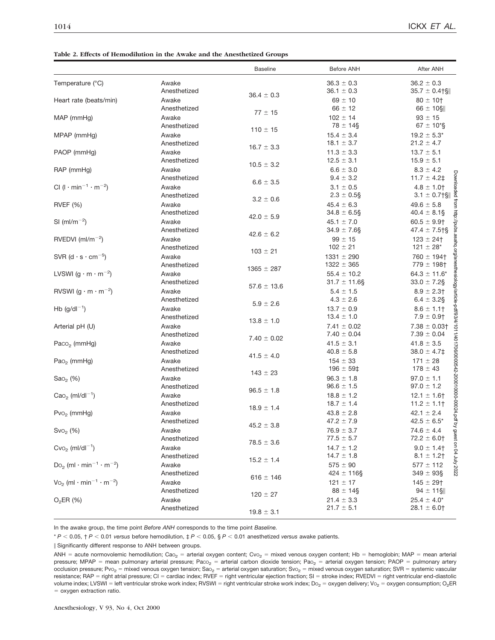#### **Table 2. Effects of Hemodilution in the Awake and the Anesthetized Groups**

|                                                                |              | <b>Baseline</b> | <b>Before ANH</b> | After ANH                               |
|----------------------------------------------------------------|--------------|-----------------|-------------------|-----------------------------------------|
| Temperature (°C)                                               | Awake        |                 | $36.3 \pm 0.3$    | $36.2 \pm 0.3$                          |
|                                                                | Anesthetized | $36.4 \pm 0.3$  | $36.1 \pm 0.3$    | $35.7 \pm 0.4$ †§                       |
| Heart rate (beats/min)                                         | Awake        |                 | $69 \pm 10$       | $80 \pm 10^{+}$                         |
|                                                                | Anesthetized | $77 \pm 15$     | $66 \pm 12$       | $66 \pm 10$ §                           |
| MAP (mmHg)                                                     | Awake        |                 | $102 \pm 14$      | $93 \pm 15$                             |
|                                                                | Anesthetized | $110 \pm 15$    | $78 \pm 14$ §     | $67 \pm 10$ <sup>*</sup> §              |
| MPAP (mmHg)                                                    | Awake        |                 | $15.4 \pm 3.4$    | $19.2 \pm 5.3^*$                        |
|                                                                | Anesthetized | $16.7 \pm 3.3$  | $18.1 \pm 3.7$    | $21.2 \pm 4.7$                          |
| PAOP (mmHg)                                                    | Awake        |                 | $11.3 \pm 3.3$    | $13.7 \pm 5.1$                          |
|                                                                | Anesthetized | $10.5 \pm 3.2$  | $12.5 \pm 3.1$    | $15.9 \pm 5.1$                          |
| RAP (mmHg)                                                     | Awake        |                 | $6.6 \pm 3.0$     | $8.3 \pm 4.2$                           |
|                                                                | Anesthetized | $6.6 \pm 3.5$   | $9.4 \pm 3.2$     | <b>UWO</b><br>$11.7 \pm 4.2$ ‡          |
| CI ( $1 \cdot min^{-1} \cdot m^{-2}$ )                         | Awake        |                 | $3.1 \pm 0.5$     | $4.8 \pm 1.0$                           |
|                                                                | Anesthetized | $3.2 \pm 0.6$   | $2.3 \pm 0.5$ §   | $3.1 \pm 0.7$   $\frac{8}{9}$           |
| <b>RVEF</b> (%)                                                | Awake        |                 | $45.4 \pm 6.3$    | $49.6 \pm 5.8$                          |
|                                                                | Anesthetized | $42.0 \pm 5.9$  | $34.8 \pm 6.5$ §  | $40.4 \pm 8.1$ §                        |
| $SI$ (ml/m <sup>-2</sup> )                                     | Awake        |                 | $45.1 \pm 7.0$    | urpupas.<br>$60.5 \pm 9.9$ †            |
|                                                                | Anesthetized | $42.6 \pm 6.2$  | $34.9 \pm 7.6$ §  | $47.4 \pm 7.5$                          |
| RVEDVI $(mI/m^{-2})$                                           | Awake        |                 | $99 \pm 15$       | $123 \pm 24$ †                          |
|                                                                | Anesthetized | $103 \pm 21$    | $102 \pm 21$      | liq.ol<br>$121 \pm 28$ *                |
| SVR $(d \cdot s \cdot cm^{-5})$                                | Awake        |                 | $1331 \pm 290$    | ng<br>Pid<br>$760 \pm 194$ <sup>+</sup> |
|                                                                | Anesthetized | $1365 \pm 287$  | $1322 \pm 365$    | $779 \pm 198$ †                         |
| LVSWI (g $\cdot$ m $\cdot$ m <sup>-2</sup> )                   | Awake        |                 | $55.4 \pm 10.2$   | $64.3 \pm 11.6^*$                       |
|                                                                | Anesthetized | $57.6 \pm 13.6$ | $31.7 \pm 11.6$ § | $33.0 \pm 7.2$ §                        |
| RVSWI (g $\cdot$ m $\cdot$ m <sup>-2</sup> )                   | Awake        |                 | $5.4 \pm 1.5$     | $8.9 \pm 2.3$                           |
|                                                                | Anesthetized | $5.9 \pm 2.6$   | $4.3 \pm 2.6$     | $6.4 \pm 3.2$ §                         |
| $Hb$ (g/dl <sup>-1</sup> )                                     | Awake        |                 | $13.7 \pm 0.9$    | $8.6 \pm 1.1$                           |
|                                                                | Anesthetized | $13.8 \pm 1.0$  | $13.4 \pm 1.0$    | $7.9 \pm 0.9$ †                         |
| Arterial pH (U)                                                | Awake        |                 | $7.41 \pm 0.02$   | $7.38 \pm 0.03$ †                       |
|                                                                | Anesthetized | $7.40 \pm 0.02$ | $7.40 \pm 0.04$   | $7.39 \pm 0.04$                         |
| Paco <sub>2</sub> (mmHg)                                       | Awake        |                 | $41.5 \pm 3.1$    | $41.8 \pm 3.5$                          |
|                                                                | Anesthetized | $41.5 \pm 4.0$  | $40.8\,\pm\,5.8$  | $38.0 \pm 4.7$ ‡                        |
| $PaO2$ (mmHg)                                                  | Awake        |                 | $154 \pm 33$      | $171 \pm 28$                            |
|                                                                | Anesthetized | $143 \pm 23$    | $196 \pm 59$ ‡    | $178 \pm 43$                            |
| $Sao2$ (%)                                                     | Awake        |                 | $96.3 \pm 1.8$    | $97.0 \pm 1.1$                          |
|                                                                | Anesthetized | $96.5 \pm 1.8$  | $96.6 \pm 1.5$    | $97.0 \pm 1.2$                          |
| $CaO2$ (ml/dl <sup>-1</sup> )                                  | Awake        |                 | $18.8 \pm 1.2$    | $12.1 \pm 1.6$ †                        |
|                                                                | Anesthetized | $18.9 \pm 1.4$  | $18.7 \pm 1.4$    | $11.2 \pm 1.1$                          |
| $Pvo2$ (mmHg)                                                  | Awake        |                 | $43.8 \pm 2.8$    | $42.1 \pm 2.4$<br>Ė                     |
|                                                                | Anesthetized | $45.2 \pm 3.8$  | $47.2 \pm 7.9$    | $42.5 \pm 6.5^*$                        |
| $Svo2$ (%)                                                     | Awake        |                 | $76.9 \pm 3.7$    | <b>A</b> anest<br>$74.6 \pm 4.4$        |
|                                                                | Anesthetized | $78.5 \pm 3.6$  | $77.5 \pm 5.7$    | $72.2 \pm 6.0$ †                        |
| $Cvo2$ (ml/dl <sup>-1</sup> )                                  | Awake        |                 | $14.7 \pm 1.2$    | $9.0 \pm 1.4$                           |
|                                                                | Anesthetized | $15.2 \pm 1.4$  | $14.7 \pm 1.8$    | 7707 AIDC to UO<br>$8.1 \pm 1.2$ †      |
| $Do_2$ (ml $\cdot$ min <sup>-1</sup> $\cdot$ m <sup>-2</sup> ) | Awake        |                 | $575 \pm 90$      | $577 \pm 112$                           |
|                                                                | Anesthetized | $616 \pm 146$   | $424 \pm 116$ §   | $349 \pm 93$ §                          |
| $\sqrt{10}$ (ml · min <sup>-1</sup> · m <sup>-2</sup> )        | Awake        |                 | $121 \pm 17$      | $145 \pm 29$ †                          |
|                                                                | Anesthetized | $120 \pm 27$    | $88 \pm 14\$      | $94 \pm 11$ §                           |
| $O_2ER(%)$                                                     | Awake        |                 | $21.4 \pm 3.3$    | $25.4 \pm 4.0^*$                        |
|                                                                | Anesthetized | $19.8 \pm 3.1$  | $21.7 \pm 5.1$    | $28.1 \pm 6.0$                          |
|                                                                |              |                 |                   |                                         |

In the awake group, the time point *Before ANH* corresponds to the time point *Baseline.*

 $* P < 0.05$ ,  $\uparrow P < 0.01$  *versus* before hemodilution,  $\downarrow P < 0.05$ , §  $P < 0.01$  anesthetized *versus* awake patients.

\ Significantly different response to ANH between groups.

ANH = acute normovolemic hemodilution; Cao<sub>2</sub> = arterial oxygen content; Cvo<sub>2</sub> = mixed venous oxygen content; Hb = hemoglobin; MAP = mean arterial pressure; MPAP = mean pulmonary arterial pressure; Paco<sub>2</sub> = arterial carbon dioxide tension; Pao<sub>2</sub> = arterial oxygen tension; PAOP = pulmonary artery occlusion pressure; Pvo<sub>2</sub> = mixed venous oxygen tension; Sao<sub>2</sub> = arterial oxygen saturation; Svo<sub>2</sub> = mixed venous oxygen saturation; SVR = systemic vascular resistance; RAP = right atrial pressure; CI = cardiac index; RVEF = right ventricular ejection fraction; SI = stroke index; RVEDVI = right ventricular end-diastolic volume index; LVSWI = left ventricular stroke work index; RVSWI = right ventricular stroke work index; Do<sub>2</sub> = oxygen delivery; Vo<sub>2</sub> = oxygen consumption; O<sub>2</sub>ER = oxygen extraction ratio.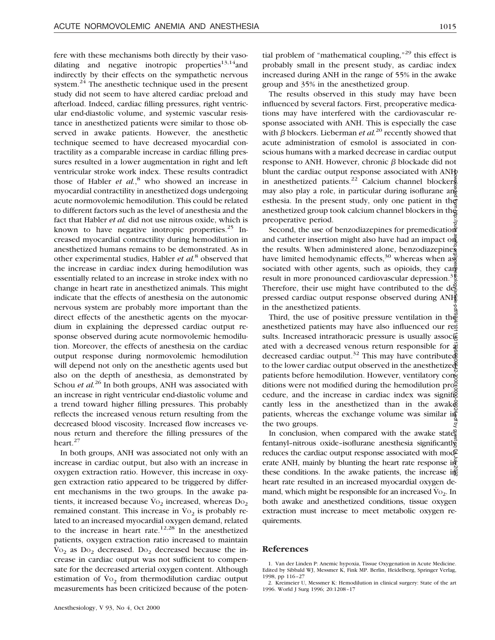fere with these mechanisms both directly by their vasodilating and negative inotropic properties<sup>13,14</sup> and indirectly by their effects on the sympathetic nervous system.<sup>24</sup> The anesthetic technique used in the present study did not seem to have altered cardiac preload and afterload. Indeed, cardiac filling pressures, right ventricular end-diastolic volume, and systemic vascular resistance in anesthetized patients were similar to those observed in awake patients. However, the anesthetic technique seemed to have decreased myocardial contractility as a comparable increase in cardiac filling pressures resulted in a lower augmentation in right and left ventricular stroke work index. These results contradict those of Habler *et al.*, <sup>8</sup> who showed an increase in myocardial contractility in anesthetized dogs undergoing acute normovolemic hemodilution. This could be related to different factors such as the level of anesthesia and the fact that Habler *et al.* did not use nitrous oxide, which is known to have negative inotropic properties. $25$  Increased myocardial contractility during hemodilution in anesthetized humans remains to be demonstrated. As in other experimental studies, Habler *et al.*<sup>8</sup> observed that the increase in cardiac index during hemodilution was essentially related to an increase in stroke index with no change in heart rate in anesthetized animals. This might indicate that the effects of anesthesia on the autonomic nervous system are probably more important than the direct effects of the anesthetic agents on the myocardium in explaining the depressed cardiac output response observed during acute normovolemic hemodilution. Moreover, the effects of anesthesia on the cardiac output response during normovolemic hemodilution will depend not only on the anesthetic agents used but also on the depth of anesthesia, as demonstrated by Schou *et al.*<sup>26</sup> In both groups, ANH was associated with an increase in right ventricular end-diastolic volume and a trend toward higher filling pressures. This probably reflects the increased venous return resulting from the decreased blood viscosity. Increased flow increases venous return and therefore the filling pressures of the heart.<sup>27</sup>

In both groups, ANH was associated not only with an increase in cardiac output, but also with an increase in oxygen extraction ratio. However, this increase in oxygen extraction ratio appeared to be triggered by different mechanisms in the two groups. In the awake patients, it increased because  $\dot{V}_{O_2}$  increased, whereas  $Do_2$ remained constant. This increase in  $\mathrm{Vo}_2$  is probably related to an increased myocardial oxygen demand, related to the increase in heart rate.<sup>12,28</sup> In the anesthetized patients, oxygen extraction ratio increased to maintain  $\dot{V}$ O<sub>2</sub> as D<sub>O<sub>2</sub></sub> decreased. D<sub>O<sub>2</sub></sub> decreased because the increase in cardiac output was not sufficient to compensate for the decreased arterial oxygen content. Although estimation of  $\dot{V}$ <sub>2</sub> from thermodilution cardiac output measurements has been criticized because of the poten-

tial problem of "mathematical coupling," $^{29}$  this effect is probably small in the present study, as cardiac index increased during ANH in the range of 55% in the awake group and 35% in the anesthetized group.

The results observed in this study may have been influenced by several factors. First, preoperative medications may have interfered with the cardiovascular response associated with ANH. This is especially the case with  $\beta$  blockers. Lieberman *et al.*<sup>20</sup> recently showed that acute administration of esmolol is associated in conscious humans with a marked decrease in cardiac output response to ANH. However, chronic  $\beta$  blockade did not blunt the cardiac output response associated with ANH in anesthetized patients.<sup>22</sup> Calcium channel blockers may also play a role, in particular during isoflurane an esthesia. In the present study, only one patient in the anesthetized group took calcium channel blockers in the preoperative period.

Second, the use of benzodiazepines for premedication and catheter insertion might also have had an impact on the results. When administered alone, benzodiazepines have limited hemodynamic effects,<sup>30</sup> whereas when as sociated with other agents, such as opioids, they can result in more pronounced cardiovascular depression.<sup>31</sup> Therefore, their use might have contributed to the depressed cardiac output response observed during ANH in the anesthetized patients.

Third, the use of positive pressure ventilation in the anesthetized patients may have also influenced our results. Increased intrathoracic pressure is usually associated with a decreased venous return responsible for  $\vec{x}$ decreased cardiac output.<sup>32</sup> This may have contribute to the lower cardiac output observed in the anesthetized patients before hemodilution. However, ventilatory conditions were not modified during the hemodilution  $\text{pro}^{\mathcal{S}}$ cedure, and the increase in cardiac index was significantly less in the anesthetized than in the awake patients, whereas the exchange volume was similar in the two groups. Downloaded from http://pubs.asahq.org/anesthesiology/article-pdf/93/4/1011/401706/0000542-200010000-00024.pdf by guest on 04 July 2022

In conclusion, when compared with the awake state $\frac{2}{3}$ fentanyl–nitrous oxide–isoflurane anesthesia significantly reduces the cardiac output response associated with moderate ANH, mainly by blunting the heart rate response in these conditions. In the awake patients, the increase in heart rate resulted in an increased myocardial oxygen demand, which might be responsible for an increased  $\dot{V}_{\text{O}_2}$ . In both awake and anesthetized conditions, tissue oxygen extraction must increase to meet metabolic oxygen requirements.

#### **References**

1. Van der Linden P: Anemic hypoxia, Tissue Oxygenation in Acute Medicine. Edited by Sibbald WJ, Messmer K, Fink MP. Berlin, Heidelberg, Springer Verlag, 1998, pp 116–27

2. Kreimeier U, Messmer K: Hemodilution in clinical surgery: State of the art 1996. World J Surg 1996; 20:1208–17